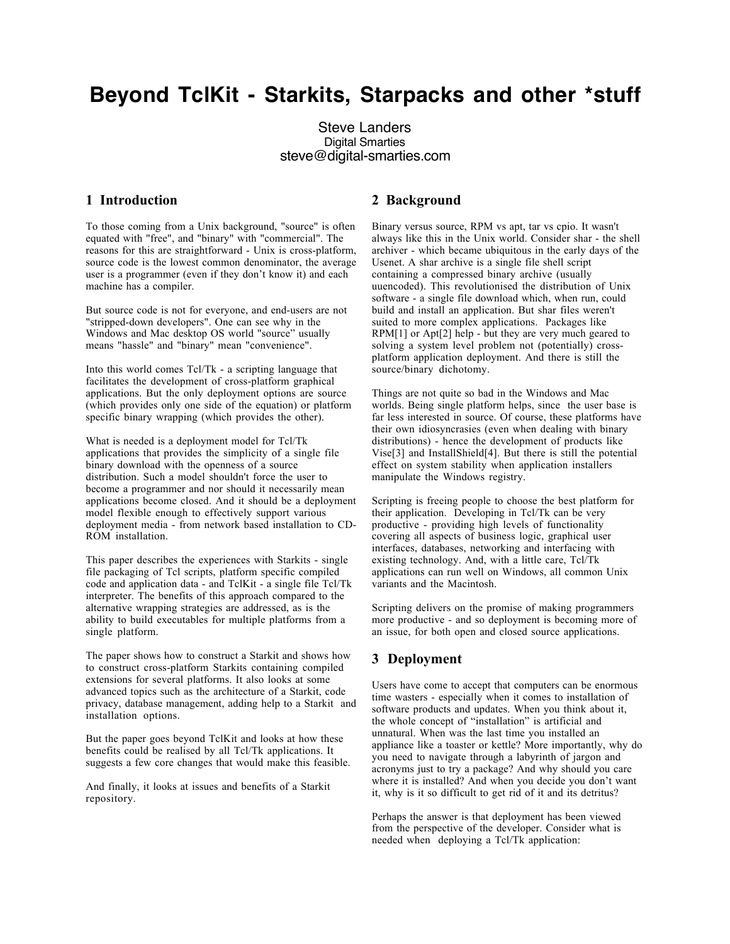# **Beyond TclKit - Starkits, Starpacks and other \*stuff**

Steve Landers Digital Smarties steve@digital-smarties.com

## **1 Introduction**

To those coming from a Unix background, "source" is often equated with "free", and "binary" with "commercial". The reasons for this are straightforward - Unix is cross-platform, source code is the lowest common denominator, the average user is a programmer (even if they don't know it) and each machine has a compiler.

But source code is not for everyone, and end-users are not "stripped-down developers". One can see why in the Windows and Mac desktop OS world "source" usually means "hassle" and "binary" mean "convenience".

Into this world comes Tcl/Tk - a scripting language that facilitates the development of cross-platform graphical applications. But the only deployment options are source (which provides only one side of the equation) or platform specific binary wrapping (which provides the other).

What is needed is a deployment model for Tcl/Tk applications that provides the simplicity of a single file binary download with the openness of a source distribution. Such a model shouldn't force the user to become a programmer and nor should it necessarily mean applications become closed. And it should be a deployment model flexible enough to effectively support various deployment media - from network based installation to CD-ROM installation.

This paper describes the experiences with Starkits - single file packaging of Tcl scripts, platform specific compiled code and application data - and TclKit - a single file Tcl/Tk interpreter. The benefits of this approach compared to the alternative wrapping strategies are addressed, as is the ability to build executables for multiple platforms from a single platform.

The paper shows how to construct a Starkit and shows how to construct cross-platform Starkits containing compiled extensions for several platforms. It also looks at some advanced topics such as the architecture of a Starkit, code privacy, database management, adding help to a Starkit and installation options.

But the paper goes beyond TclKit and looks at how these benefits could be realised by all Tcl/Tk applications. It suggests a few core changes that would make this feasible.

And finally, it looks at issues and benefits of a Starkit repository.

## **2 Background**

Binary versus source, RPM vs apt, tar vs cpio. It wasn't always like this in the Unix world. Consider shar - the shell archiver - which became ubiquitous in the early days of the Usenet. A shar archive is a single file shell script containing a compressed binary archive (usually uuencoded). This revolutionised the distribution of Unix software - a single file download which, when run, could build and install an application. But shar files weren't suited to more complex applications. Packages like RPM[1] or Apt[2] help - but they are very much geared to solving a system level problem not (potentially) crossplatform application deployment. And there is still the source/binary dichotomy.

Things are not quite so bad in the Windows and Mac worlds. Being single platform helps, since the user base is far less interested in source. Of course, these platforms have their own idiosyncrasies (even when dealing with binary distributions) - hence the development of products like Vise[3] and InstallShield[4]. But there is still the potential effect on system stability when application installers manipulate the Windows registry.

Scripting is freeing people to choose the best platform for their application. Developing in Tcl/Tk can be very productive - providing high levels of functionality covering all aspects of business logic, graphical user interfaces, databases, networking and interfacing with existing technology. And, with a little care, Tcl/Tk applications can run well on Windows, all common Unix variants and the Macintosh.

Scripting delivers on the promise of making programmers more productive - and so deployment is becoming more of an issue, for both open and closed source applications.

## **3 Deployment**

Users have come to accept that computers can be enormous time wasters - especially when it comes to installation of software products and updates. When you think about it, the whole concept of "installation" is artificial and unnatural. When was the last time you installed an appliance like a toaster or kettle? More importantly, why do you need to navigate through a labyrinth of jargon and acronyms just to try a package? And why should you care where it is installed? And when you decide you don't want it, why is it so difficult to get rid of it and its detritus?

Perhaps the answer is that deployment has been viewed from the perspective of the developer. Consider what is needed when deploying a Tcl/Tk application: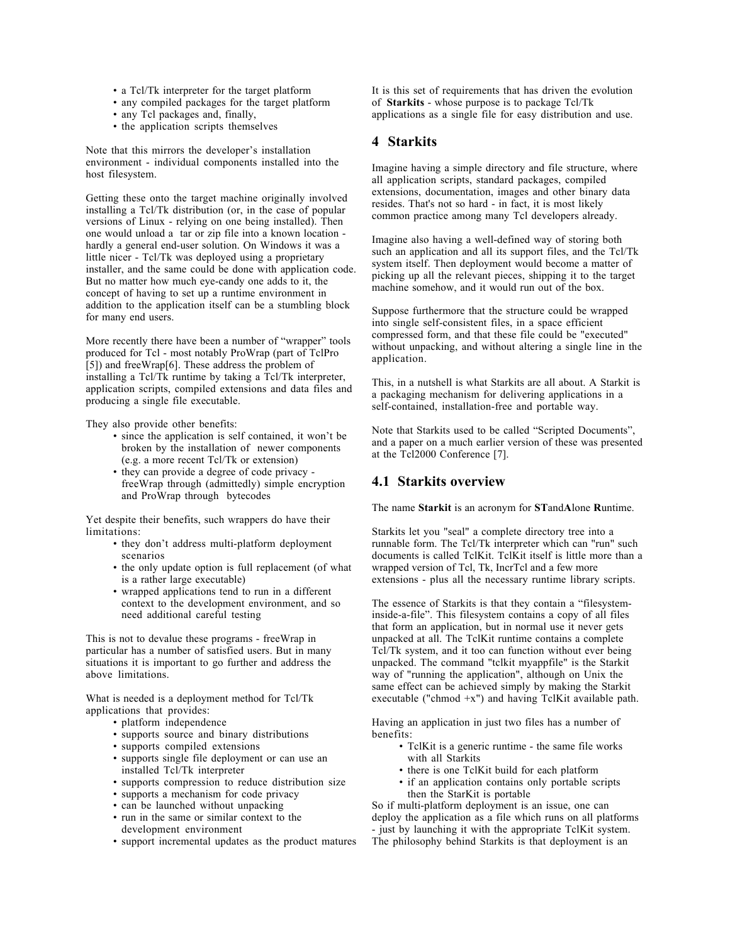- a Tcl/Tk interpreter for the target platform
- any compiled packages for the target platform
- any Tcl packages and, finally,
- the application scripts themselves

Note that this mirrors the developer's installation environment - individual components installed into the host filesystem.

Getting these onto the target machine originally involved installing a Tcl/Tk distribution (or, in the case of popular versions of Linux - relying on one being installed). Then one would unload a tar or zip file into a known location hardly a general end-user solution. On Windows it was a little nicer - Tcl/Tk was deployed using a proprietary installer, and the same could be done with application code. But no matter how much eye-candy one adds to it, the concept of having to set up a runtime environment in addition to the application itself can be a stumbling block for many end users.

More recently there have been a number of "wrapper" tools produced for Tcl - most notably ProWrap (part of TclPro [5]) and freeWrap[6]. These address the problem of installing a Tcl/Tk runtime by taking a Tcl/Tk interpreter, application scripts, compiled extensions and data files and producing a single file executable.

They also provide other benefits:

- since the application is self contained, it won't be broken by the installation of newer components (e.g. a more recent Tcl/Tk or extension)
- they can provide a degree of code privacy freeWrap through (admittedly) simple encryption and ProWrap through bytecodes

Yet despite their benefits, such wrappers do have their limitations:

- they don't address multi-platform deployment scenarios
- the only update option is full replacement (of what is a rather large executable)
- wrapped applications tend to run in a different context to the development environment, and so need additional careful testing

This is not to devalue these programs - freeWrap in particular has a number of satisfied users. But in many situations it is important to go further and address the above limitations.

What is needed is a deployment method for Tcl/Tk applications that provides:

- platform independence
- supports source and binary distributions
- supports compiled extensions
- supports single file deployment or can use an installed Tcl/Tk interpreter
- supports compression to reduce distribution size
- supports a mechanism for code privacy
- can be launched without unpacking
- run in the same or similar context to the development environment
- support incremental updates as the product matures

It is this set of requirements that has driven the evolution of **Starkits** - whose purpose is to package Tcl/Tk applications as a single file for easy distribution and use.

#### **4 Starkits**

Imagine having a simple directory and file structure, where all application scripts, standard packages, compiled extensions, documentation, images and other binary data resides. That's not so hard - in fact, it is most likely common practice among many Tcl developers already.

Imagine also having a well-defined way of storing both such an application and all its support files, and the Tcl/Tk system itself. Then deployment would become a matter of picking up all the relevant pieces, shipping it to the target machine somehow, and it would run out of the box.

Suppose furthermore that the structure could be wrapped into single self-consistent files, in a space efficient compressed form, and that these file could be "executed" without unpacking, and without altering a single line in the application.

This, in a nutshell is what Starkits are all about. A Starkit is a packaging mechanism for delivering applications in a self-contained, installation-free and portable way.

Note that Starkits used to be called "Scripted Documents", and a paper on a much earlier version of these was presented at the Tcl2000 Conference [7].

#### **4.1 Starkits overview**

The name **Starkit** is an acronym for **ST**and**A**lone **R**untime.

Starkits let you "seal" a complete directory tree into a runnable form. The Tcl/Tk interpreter which can "run" such documents is called TclKit. TclKit itself is little more than a wrapped version of Tcl, Tk, IncrTcl and a few more extensions - plus all the necessary runtime library scripts.

The essence of Starkits is that they contain a "filesysteminside-a-file". This filesystem contains a copy of all files that form an application, but in normal use it never gets unpacked at all. The TclKit runtime contains a complete Tcl/Tk system, and it too can function without ever being unpacked. The command "tclkit myappfile" is the Starkit way of "running the application", although on Unix the same effect can be achieved simply by making the Starkit executable ("chmod  $+x$ ") and having TclKit available path.

Having an application in just two files has a number of benefits:

- TclKit is a generic runtime the same file works with all Starkits
- there is one TclKit build for each platform
- if an application contains only portable scripts then the StarKit is portable

So if multi-platform deployment is an issue, one can deploy the application as a file which runs on all platforms - just by launching it with the appropriate TclKit system. The philosophy behind Starkits is that deployment is an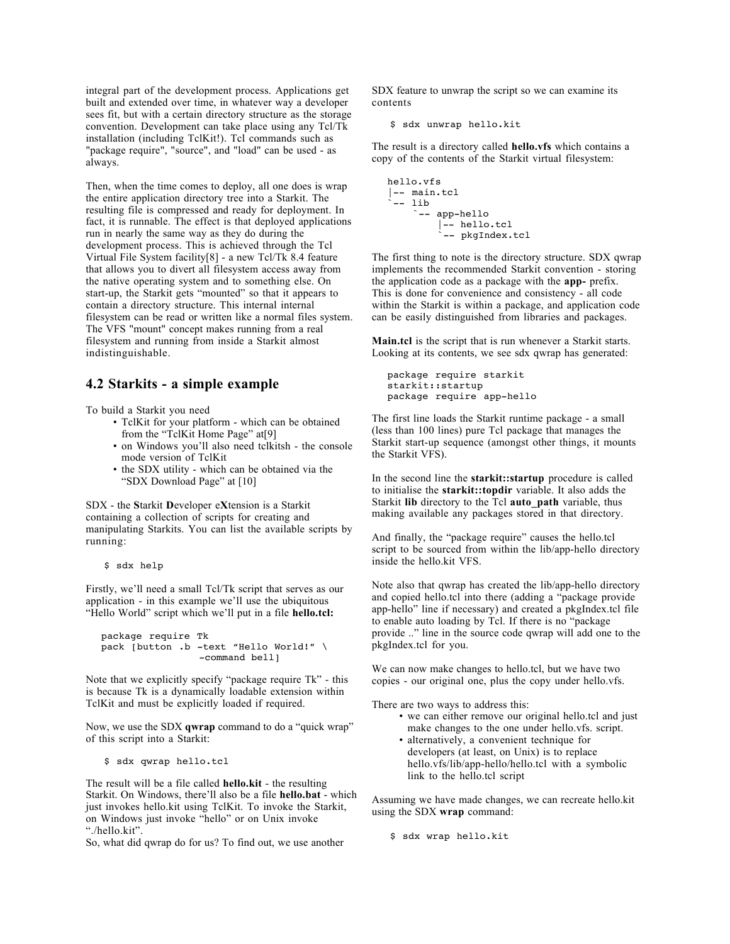integral part of the development process. Applications get built and extended over time, in whatever way a developer sees fit, but with a certain directory structure as the storage convention. Development can take place using any Tcl/Tk installation (including TclKit!). Tcl commands such as "package require", "source", and "load" can be used - as always.

Then, when the time comes to deploy, all one does is wrap the entire application directory tree into a Starkit. The resulting file is compressed and ready for deployment. In fact, it is runnable. The effect is that deployed applications run in nearly the same way as they do during the development process. This is achieved through the Tcl Virtual File System facility[8] - a new Tcl/Tk 8.4 feature that allows you to divert all filesystem access away from the native operating system and to something else. On start-up, the Starkit gets "mounted" so that it appears to contain a directory structure. This internal internal filesystem can be read or written like a normal files system. The VFS "mount" concept makes running from a real filesystem and running from inside a Starkit almost indistinguishable.

## **4.2 Starkits - a simple example**

To build a Starkit you need

- TclKit for your platform which can be obtained from the "TclKit Home Page" at[9]
- on Windows you'll also need tclkitsh the console mode version of TclKit
- the SDX utility which can be obtained via the "SDX Download Page" at [10]

SDX - the **S**tarkit **D**eveloper e**X**tension is a Starkit containing a collection of scripts for creating and manipulating Starkits. You can list the available scripts by running:

\$ sdx help

Firstly, we'll need a small Tcl/Tk script that serves as our application - in this example we'll use the ubiquitous "Hello World" script which we'll put in a file **hello.tcl:**

```
package require Tk
pack [button .b -text "Hello World!" \
                  -command bell]
```
Note that we explicitly specify "package require Tk" - this is because Tk is a dynamically loadable extension within TclKit and must be explicitly loaded if required.

Now, we use the SDX **qwrap** command to do a "quick wrap" of this script into a Starkit:

\$ sdx qwrap hello.tcl

The result will be a file called **hello.kit** - the resulting Starkit. On Windows, there'll also be a file **hello.bat** - which just invokes hello.kit using TclKit. To invoke the Starkit, on Windows just invoke "hello" or on Unix invoke "./hello.kit".

So, what did qwrap do for us? To find out, we use another

SDX feature to unwrap the script so we can examine its contents

```
$ sdx unwrap hello.kit
```
The result is a directory called **hello.vfs** which contains a copy of the contents of the Starkit virtual filesystem:

```
hello.vfs
|-- main.tcl
 `-- lib
      `-- app-hello
          |-- hello.tcl
          -- pkgIndex.tcl
```
The first thing to note is the directory structure. SDX qwrap implements the recommended Starkit convention - storing the application code as a package with the **app-** prefix. This is done for convenience and consistency - all code within the Starkit is within a package, and application code can be easily distinguished from libraries and packages.

**Main.tcl** is the script that is run whenever a Starkit starts. Looking at its contents, we see sdx qwrap has generated:

```
package require starkit
starkit::startup
package require app-hello
```
The first line loads the Starkit runtime package - a small (less than 100 lines) pure Tcl package that manages the Starkit start-up sequence (amongst other things, it mounts the Starkit VFS).

In the second line the **starkit::startup** procedure is called to initialise the **starkit::topdir** variable. It also adds the Starkit **lib** directory to the Tcl **auto\_path** variable, thus making available any packages stored in that directory.

And finally, the "package require" causes the hello.tcl script to be sourced from within the lib/app-hello directory inside the hello.kit VFS.

Note also that qwrap has created the lib/app-hello directory and copied hello.tcl into there (adding a "package provide app-hello" line if necessary) and created a pkgIndex.tcl file to enable auto loading by Tcl. If there is no "package provide .." line in the source code qwrap will add one to the pkgIndex.tcl for you.

We can now make changes to hello.tcl, but we have two copies - our original one, plus the copy under hello.vfs.

There are two ways to address this:

- we can either remove our original hello.tcl and just make changes to the one under hello.vfs. script.
- alternatively, a convenient technique for developers (at least, on Unix) is to replace hello.vfs/lib/app-hello/hello.tcl with a symbolic link to the hello.tcl script

Assuming we have made changes, we can recreate hello.kit using the SDX **wrap** command:

\$ sdx wrap hello.kit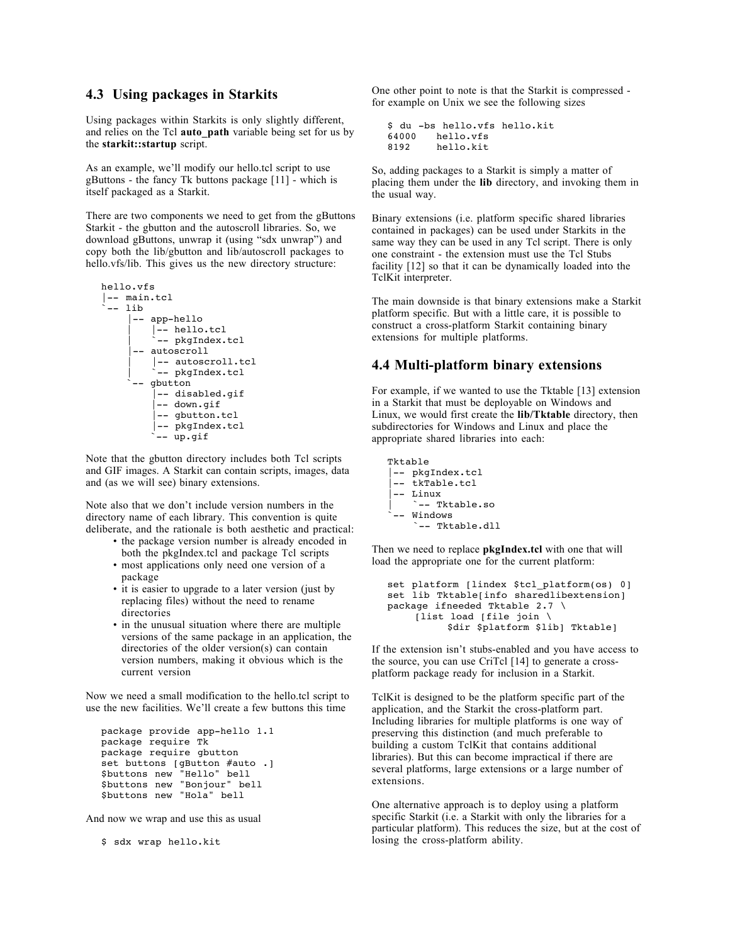#### **4.3 Using packages in Starkits**

Using packages within Starkits is only slightly different, and relies on the Tcl **auto\_path** variable being set for us by the **starkit::startup** script.

As an example, we'll modify our hello.tcl script to use gButtons - the fancy Tk buttons package [11] - which is itself packaged as a Starkit.

There are two components we need to get from the gButtons Starkit - the gbutton and the autoscroll libraries. So, we download gButtons, unwrap it (using "sdx unwrap") and copy both the lib/gbutton and lib/autoscroll packages to hello.vfs/lib. This gives us the new directory structure:

```
hello.vfs
|-- main.tcl
 -- lib
      |-- app-hello
          | |-- hello.tcl
          -- pkgIndex.tcl
      |-- autoscroll
          | |-- autoscroll.tcl
          -- pkgIndex.tcl
      -- gbutton
          |-- disabled.gif
           |-- down.gif
          -- gbutton.tcl
          |-- pkgIndex.tcl
           `-- up.gif
```
Note that the gbutton directory includes both Tcl scripts and GIF images. A Starkit can contain scripts, images, data and (as we will see) binary extensions.

Note also that we don't include version numbers in the directory name of each library. This convention is quite deliberate, and the rationale is both aesthetic and practical:

- the package version number is already encoded in both the pkgIndex.tcl and package Tcl scripts • most applications only need one version of a
- package
- it is easier to upgrade to a later version (just by replacing files) without the need to rename directories
- in the unusual situation where there are multiple versions of the same package in an application, the directories of the older version(s) can contain version numbers, making it obvious which is the current version

Now we need a small modification to the hello.tcl script to use the new facilities. We'll create a few buttons this time

```
package provide app-hello 1.1
package require Tk
package require gbutton
set buttons [gButton #auto .]
$buttons new "Hello" bell
$buttons new "Bonjour" bell
$buttons new "Hola" bell
```
And now we wrap and use this as usual

\$ sdx wrap hello.kit

One other point to note is that the Starkit is compressed for example on Unix we see the following sizes

```
$ du -bs hello.vfs hello.kit
64000 hello.vfs
8192 hello.kit
```
So, adding packages to a Starkit is simply a matter of placing them under the **lib** directory, and invoking them in the usual way.

Binary extensions (i.e. platform specific shared libraries contained in packages) can be used under Starkits in the same way they can be used in any Tcl script. There is only one constraint - the extension must use the Tcl Stubs facility [12] so that it can be dynamically loaded into the TclKit interpreter.

The main downside is that binary extensions make a Starkit platform specific. But with a little care, it is possible to construct a cross-platform Starkit containing binary extensions for multiple platforms.

#### **4.4 Multi-platform binary extensions**

For example, if we wanted to use the Tktable [13] extension in a Starkit that must be deployable on Windows and Linux, we would first create the **lib/Tktable** directory, then subdirectories for Windows and Linux and place the appropriate shared libraries into each:

```
Tktable
|-- pkgIndex.tcl
 -- tkTable.tcl
 |-- Linux
     \epsilon -- Tktable.so
 -- Windows
      `-- Tktable.dll
```
Then we need to replace **pkgIndex.tcl** with one that will load the appropriate one for the current platform:

```
set platform [lindex $tcl platform(os) 0]
set lib Tktable[info sharedlibextension]
package ifneeded Tktable 2.7 \
    [list load [file join \
           $dir $platform $lib] Tktable]
```
If the extension isn't stubs-enabled and you have access to the source, you can use CriTcl [14] to generate a crossplatform package ready for inclusion in a Starkit.

TclKit is designed to be the platform specific part of the application, and the Starkit the cross-platform part. Including libraries for multiple platforms is one way of preserving this distinction (and much preferable to building a custom TclKit that contains additional libraries). But this can become impractical if there are several platforms, large extensions or a large number of extensions.

One alternative approach is to deploy using a platform specific Starkit (i.e. a Starkit with only the libraries for a particular platform). This reduces the size, but at the cost of losing the cross-platform ability.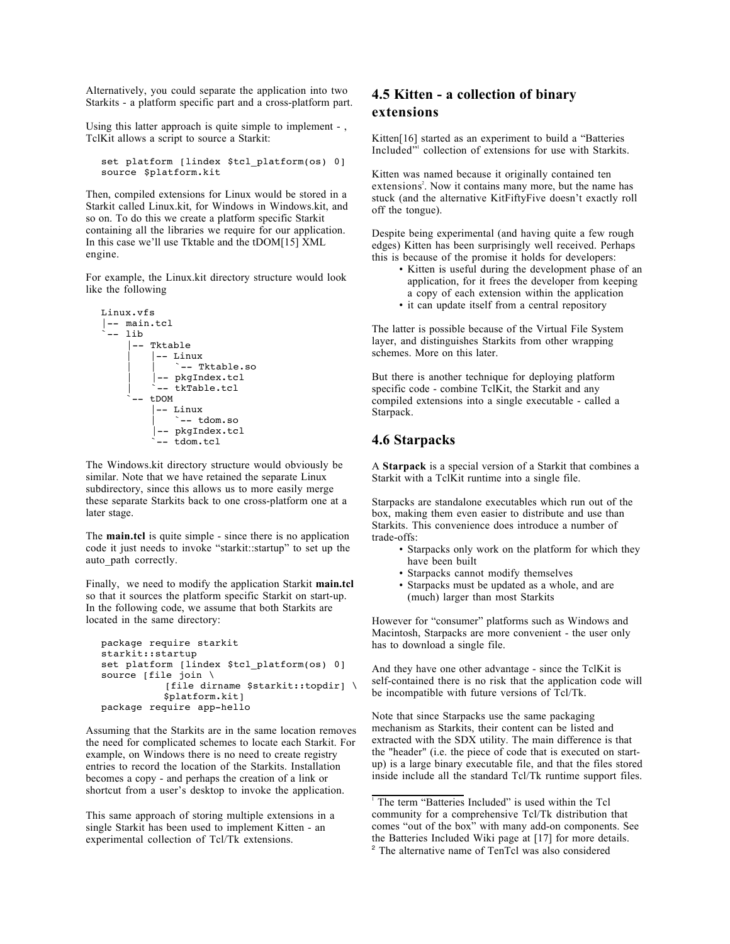Alternatively, you could separate the application into two Starkits - a platform specific part and a cross-platform part.

Using this latter approach is quite simple to implement -, TclKit allows a script to source a Starkit:

set platform [lindex \$tcl platform(os) 0] source \$platform.kit

Then, compiled extensions for Linux would be stored in a Starkit called Linux.kit, for Windows in Windows.kit, and so on. To do this we create a platform specific Starkit containing all the libraries we require for our application. In this case we'll use Tktable and the tDOM[15] XML engine.

For example, the Linux.kit directory structure would look like the following

```
Linux.vfs
|-- main.tcl
 -- lib
      |-- Tktable
          | |-- Linux
              `-- Tktable.so
           | |-- pkgIndex.tcl
          -- tkTable.tcl
      -- + DOM
           |-- Linux
              \sim - tdom.so
           |-- pkgIndex.tcl
          -- tdom.tcl
```
The Windows.kit directory structure would obviously be similar. Note that we have retained the separate Linux subdirectory, since this allows us to more easily merge these separate Starkits back to one cross-platform one at a later stage.

The **main.tcl** is quite simple - since there is no application code it just needs to invoke "starkit::startup" to set up the auto path correctly.

Finally, we need to modify the application Starkit **main.tcl**  so that it sources the platform specific Starkit on start-up. In the following code, we assume that both Starkits are located in the same directory:

```
package require starkit
starkit::startup
set platform [lindex $tcl_platform(os) 0]
source [file join \
            [file dirname $starkit::topdir] \
           $platform.kit]
package require app-hello
```
Assuming that the Starkits are in the same location removes the need for complicated schemes to locate each Starkit. For example, on Windows there is no need to create registry entries to record the location of the Starkits. Installation becomes a copy - and perhaps the creation of a link or shortcut from a user's desktop to invoke the application.

This same approach of storing multiple extensions in a single Starkit has been used to implement Kitten - an experimental collection of Tcl/Tk extensions.

# **4.5 Kitten - a collection of binary extensions**

Kitten[16] started as an experiment to build a "Batteries Included" collection of extensions for use with Starkits.

Kitten was named because it originally contained ten extensions<sup>2</sup>. Now it contains many more, but the name has stuck (and the alternative KitFiftyFive doesn't exactly roll off the tongue).

Despite being experimental (and having quite a few rough edges) Kitten has been surprisingly well received. Perhaps this is because of the promise it holds for developers:

- Kitten is useful during the development phase of an application, for it frees the developer from keeping a copy of each extension within the application
- it can update itself from a central repository

The latter is possible because of the Virtual File System layer, and distinguishes Starkits from other wrapping schemes. More on this later.

But there is another technique for deploying platform specific code - combine TclKit, the Starkit and any compiled extensions into a single executable - called a Starpack.

## **4.6 Starpacks**

A **Starpack** is a special version of a Starkit that combines a Starkit with a TclKit runtime into a single file.

Starpacks are standalone executables which run out of the box, making them even easier to distribute and use than Starkits. This convenience does introduce a number of trade-offs:

- Starpacks only work on the platform for which they have been built
- Starpacks cannot modify themselves
- Starpacks must be updated as a whole, and are (much) larger than most Starkits

However for "consumer" platforms such as Windows and Macintosh, Starpacks are more convenient - the user only has to download a single file.

And they have one other advantage - since the TclKit is self-contained there is no risk that the application code will be incompatible with future versions of Tcl/Tk.

Note that since Starpacks use the same packaging mechanism as Starkits, their content can be listed and extracted with the SDX utility. The main difference is that the "header" (i.e. the piece of code that is executed on startup) is a large binary executable file, and that the files stored inside include all the standard Tcl/Tk runtime support files.

<sup>&</sup>lt;sup>1</sup> The term "Batteries Included" is used within the Tcl community for a comprehensive Tcl/Tk distribution that comes "out of the box" with many add-on components. See the Batteries Included Wiki page at [17] for more details. <sup>2</sup> The alternative name of TenTcl was also considered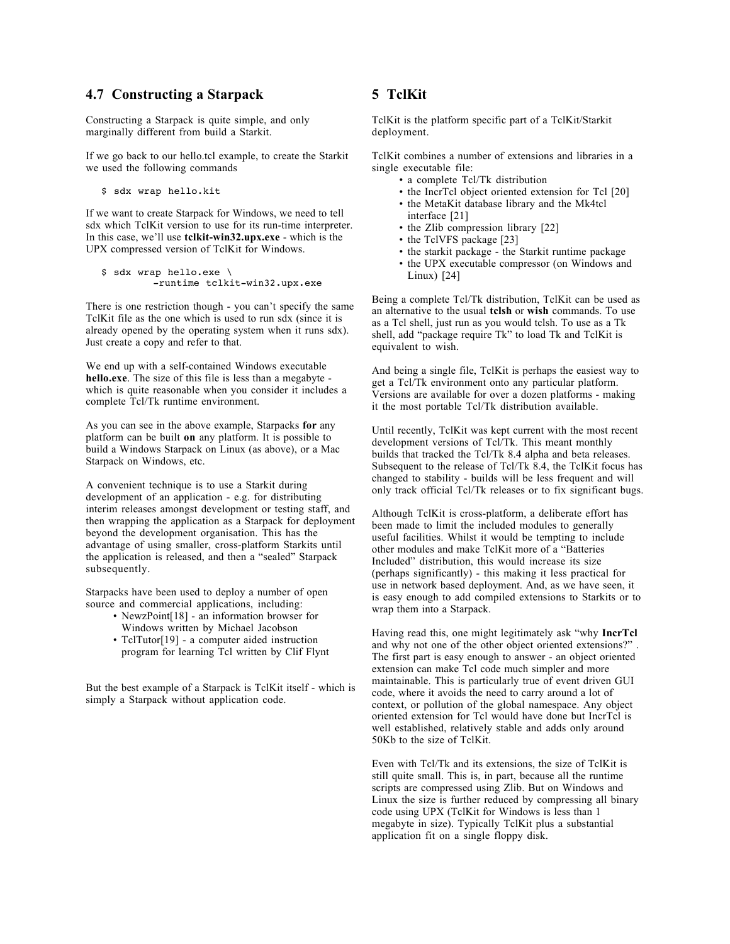#### **4.7 Constructing a Starpack**

Constructing a Starpack is quite simple, and only marginally different from build a Starkit.

If we go back to our hello.tcl example, to create the Starkit we used the following commands

\$ sdx wrap hello.kit

If we want to create Starpack for Windows, we need to tell sdx which TclKit version to use for its run-time interpreter. In this case, we'll use **tclkit-win32.upx.exe** - which is the UPX compressed version of TclKit for Windows.

```
$ sdx wrap hello.exe \
          -runtime tclkit-win32.upx.exe
```
There is one restriction though - you can't specify the same TclKit file as the one which is used to run sdx (since it is already opened by the operating system when it runs sdx). Just create a copy and refer to that.

We end up with a self-contained Windows executable **hello.exe**. The size of this file is less than a megabyte which is quite reasonable when you consider it includes a complete Tcl/Tk runtime environment.

As you can see in the above example, Starpacks **for** any platform can be built **on** any platform. It is possible to build a Windows Starpack on Linux (as above), or a Mac Starpack on Windows, etc.

A convenient technique is to use a Starkit during development of an application - e.g. for distributing interim releases amongst development or testing staff, and then wrapping the application as a Starpack for deployment beyond the development organisation. This has the advantage of using smaller, cross-platform Starkits until the application is released, and then a "sealed" Starpack subsequently.

Starpacks have been used to deploy a number of open source and commercial applications, including:

- NewzPoint[18] an information browser for Windows written by Michael Jacobson
- TclTutor[19] a computer aided instruction program for learning Tcl written by Clif Flynt

But the best example of a Starpack is TclKit itself - which is simply a Starpack without application code.

# **5 TclKit**

TclKit is the platform specific part of a TclKit/Starkit deployment.

TclKit combines a number of extensions and libraries in a single executable file:

- a complete Tcl/Tk distribution
- the IncrTcl object oriented extension for Tcl [20]
- the MetaKit database library and the Mk4tcl interface [21]
- the Zlib compression library [22]
- the TclVFS package [23]
- the starkit package the Starkit runtime package
- the UPX executable compressor (on Windows and Linux) [24]

Being a complete Tcl/Tk distribution, TclKit can be used as an alternative to the usual **tclsh** or **wish** commands. To use as a Tcl shell, just run as you would tclsh. To use as a Tk shell, add "package require Tk" to load Tk and TclKit is equivalent to wish.

And being a single file, TclKit is perhaps the easiest way to get a Tcl/Tk environment onto any particular platform. Versions are available for over a dozen platforms - making it the most portable Tcl/Tk distribution available.

Until recently, TclKit was kept current with the most recent development versions of Tcl/Tk. This meant monthly builds that tracked the Tcl/Tk 8.4 alpha and beta releases. Subsequent to the release of Tcl/Tk 8.4, the TclKit focus has changed to stability - builds will be less frequent and will only track official Tcl/Tk releases or to fix significant bugs.

Although TclKit is cross-platform, a deliberate effort has been made to limit the included modules to generally useful facilities. Whilst it would be tempting to include other modules and make TclKit more of a "Batteries Included" distribution, this would increase its size (perhaps significantly) - this making it less practical for use in network based deployment. And, as we have seen, it is easy enough to add compiled extensions to Starkits or to wrap them into a Starpack.

Having read this, one might legitimately ask "why **IncrTcl**  and why not one of the other object oriented extensions?" The first part is easy enough to answer - an object oriented extension can make Tcl code much simpler and more maintainable. This is particularly true of event driven GUI code, where it avoids the need to carry around a lot of context, or pollution of the global namespace. Any object oriented extension for Tcl would have done but IncrTcl is well established, relatively stable and adds only around 50Kb to the size of TclKit.

Even with Tcl/Tk and its extensions, the size of TclKit is still quite small. This is, in part, because all the runtime scripts are compressed using Zlib. But on Windows and Linux the size is further reduced by compressing all binary code using UPX (TclKit for Windows is less than 1 megabyte in size). Typically TclKit plus a substantial application fit on a single floppy disk.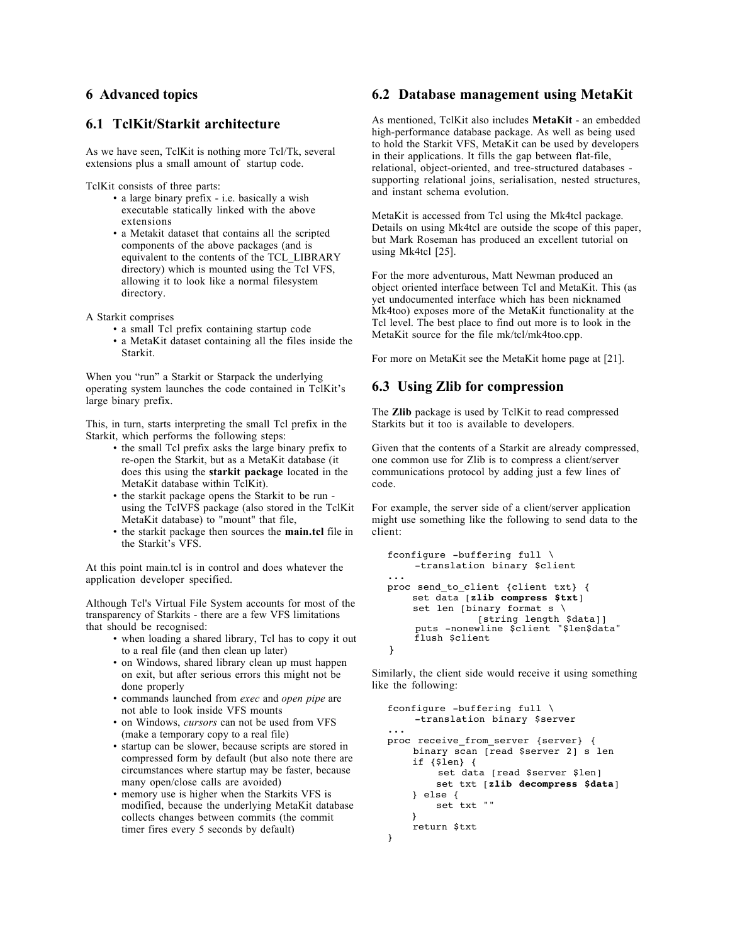## **6 Advanced topics**

## **6.1 TclKit/Starkit architecture**

As we have seen, TclKit is nothing more Tcl/Tk, several extensions plus a small amount of startup code.

TclKit consists of three parts:

- a large binary prefix i.e. basically a wish executable statically linked with the above extensions
- a Metakit dataset that contains all the scripted components of the above packages (and is equivalent to the contents of the TCL\_LIBRARY directory) which is mounted using the Tcl VFS, allowing it to look like a normal filesystem directory.
- A Starkit comprises
	- a small Tcl prefix containing startup code
	- a MetaKit dataset containing all the files inside the Starkit.

When you "run" a Starkit or Starpack the underlying operating system launches the code contained in TclKit's large binary prefix.

This, in turn, starts interpreting the small Tcl prefix in the Starkit, which performs the following steps:

- the small Tcl prefix asks the large binary prefix to re-open the Starkit, but as a MetaKit database (it does this using the **starkit package** located in the MetaKit database within TclKit).
- the starkit package opens the Starkit to be run using the TclVFS package (also stored in the TclKit MetaKit database) to "mount" that file,
- the starkit package then sources the **main.tcl** file in the Starkit's VFS.

At this point main.tcl is in control and does whatever the application developer specified.

Although Tcl's Virtual File System accounts for most of the transparency of Starkits - there are a few VFS limitations that should be recognised:

- when loading a shared library, Tcl has to copy it out to a real file (and then clean up later)
- on Windows, shared library clean up must happen on exit, but after serious errors this might not be done properly
- commands launched from *exec* and *open pipe* are not able to look inside VFS mounts
- on Windows, *cursors* can not be used from VFS (make a temporary copy to a real file)
- startup can be slower, because scripts are stored in compressed form by default (but also note there are circumstances where startup may be faster, because many open/close calls are avoided)
- memory use is higher when the Starkits VFS is modified, because the underlying MetaKit database collects changes between commits (the commit timer fires every 5 seconds by default)

#### **6.2 Database management using MetaKit**

As mentioned, TclKit also includes **MetaKit** - an embedded high-performance database package. As well as being used to hold the Starkit VFS, MetaKit can be used by developers in their applications. It fills the gap between flat-file, relational, object-oriented, and tree-structured databases supporting relational joins, serialisation, nested structures, and instant schema evolution.

MetaKit is accessed from Tcl using the Mk4tcl package. Details on using Mk4tcl are outside the scope of this paper, but Mark Roseman has produced an excellent tutorial on using Mk4tcl [25].

For the more adventurous, Matt Newman produced an object oriented interface between Tcl and MetaKit. This (as yet undocumented interface which has been nicknamed Mk4too) exposes more of the MetaKit functionality at the Tcl level. The best place to find out more is to look in the MetaKit source for the file mk/tcl/mk4too.cpp.

For more on MetaKit see the MetaKit home page at [21].

## **6.3 Using Zlib for compression**

The **Zlib** package is used by TclKit to read compressed Starkits but it too is available to developers.

Given that the contents of a Starkit are already compressed, one common use for Zlib is to compress a client/server communications protocol by adding just a few lines of code.

For example, the server side of a client/server application might use something like the following to send data to the client:

```
fconfigure -buffering full \
     -translation binary $client
...
proc send_to_client {client txt} {
     set data [zlib compress $txt]
    set len [binary format s \backslash [string length $data]]
      puts -nonewline $client "$len$data"
      flush $client
}
```
Similarly, the client side would receive it using something like the following:

```
fconfigure -buffering full \
     -translation binary $server
...
proc receive_from_server {server} {
     binary scan [read $server 2] s len
     if {$len} {
          set data [read $server $len]
         set txt [zlib decompress $data]
     } else {
         set txt ""
     }
     return $txt
}
```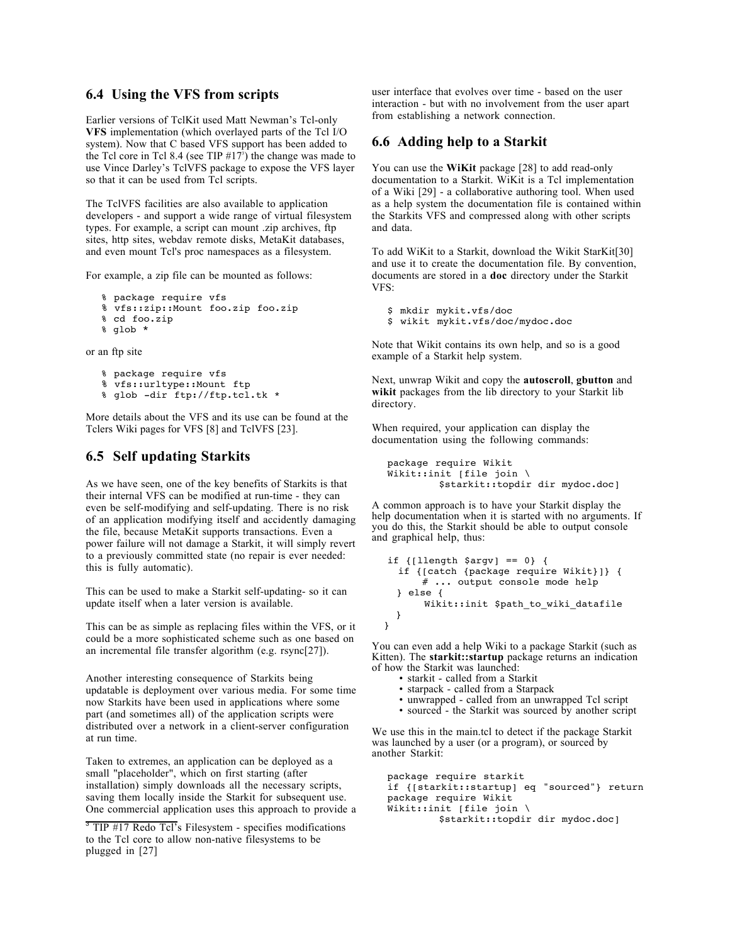### **6.4 Using the VFS from scripts**

Earlier versions of TclKit used Matt Newman's Tcl-only **VFS** implementation (which overlayed parts of the Tcl I/O system). Now that C based VFS support has been added to the Tcl core in Tcl 8.4 (see TIP  $#17<sup>3</sup>$ ) the change was made to use Vince Darley's TclVFS package to expose the VFS layer so that it can be used from Tcl scripts.

The TclVFS facilities are also available to application developers - and support a wide range of virtual filesystem types. For example, a script can mount .zip archives, ftp sites, http sites, webdav remote disks, MetaKit databases, and even mount Tcl's proc namespaces as a filesystem.

For example, a zip file can be mounted as follows:

```
% package require vfs
% vfs::zip::Mount foo.zip foo.zip
% cd foo.zip
```

```
% glob *
```
or an ftp site

```
% package require vfs
% vfs::urltype::Mount ftp
% glob -dir ftp://ftp.tcl.tk *
```
More details about the VFS and its use can be found at the Tclers Wiki pages for VFS [8] and TclVFS [23].

# **6.5 Self updating Starkits**

As we have seen, one of the key benefits of Starkits is that their internal VFS can be modified at run-time - they can even be self-modifying and self-updating. There is no risk of an application modifying itself and accidently damaging the file, because MetaKit supports transactions. Even a power failure will not damage a Starkit, it will simply revert to a previously committed state (no repair is ever needed: this is fully automatic).

This can be used to make a Starkit self-updating- so it can update itself when a later version is available.

This can be as simple as replacing files within the VFS, or it could be a more sophisticated scheme such as one based on an incremental file transfer algorithm (e.g. rsync[27]).

Another interesting consequence of Starkits being updatable is deployment over various media. For some time now Starkits have been used in applications where some part (and sometimes all) of the application scripts were distributed over a network in a client-server configuration at run time.

Taken to extremes, an application can be deployed as a small "placeholder", which on first starting (after installation) simply downloads all the necessary scripts, saving them locally inside the Starkit for subsequent use. One commercial application uses this approach to provide a

 $3$  TIP #17 Redo Tcl's Filesystem - specifies modifications to the Tcl core to allow non-native filesystems to be plugged in [27]

user interface that evolves over time - based on the user interaction - but with no involvement from the user apart from establishing a network connection.

## **6.6 Adding help to a Starkit**

You can use the **WiKit** package [28] to add read-only documentation to a Starkit. WiKit is a Tcl implementation of a Wiki [29] - a collaborative authoring tool. When used as a help system the documentation file is contained within the Starkits VFS and compressed along with other scripts and data.

To add WiKit to a Starkit, download the Wikit StarKit[30] and use it to create the documentation file. By convention, documents are stored in a **doc** directory under the Starkit VFS:

```
$ mkdir mykit.vfs/doc
$ wikit mykit.vfs/doc/mydoc.doc
```
Note that Wikit contains its own help, and so is a good example of a Starkit help system.

Next, unwrap Wikit and copy the **autoscroll**, **gbutton** and **wikit** packages from the lib directory to your Starkit lib directory.

When required, your application can display the documentation using the following commands:

```
package require Wikit
Wikit::init [file join \
          $starkit::topdir dir mydoc.doc]
```
A common approach is to have your Starkit display the help documentation when it is started with no arguments. If you do this, the Starkit should be able to output console and graphical help, thus:

```
if {[llength $argv] == 0} {
   if {[catch {package require Wikit}]} {
       # ... output console mode help
   } else {
        Wikit::init $path_to_wiki_datafile
   }
 }
```
You can even add a help Wiki to a package Starkit (such as Kitten). The **starkit::startup** package returns an indication of how the Starkit was launched:

- starkit called from a Starkit
- starpack called from a Starpack
- unwrapped called from an unwrapped Tcl script
- sourced the Starkit was sourced by another script

We use this in the main.tcl to detect if the package Starkit was launched by a user (or a program), or sourced by another Starkit:

package require starkit if {[starkit::startup] eq "sourced"} return package require Wikit Wikit::init [file join \ \$starkit::topdir dir mydoc.doc]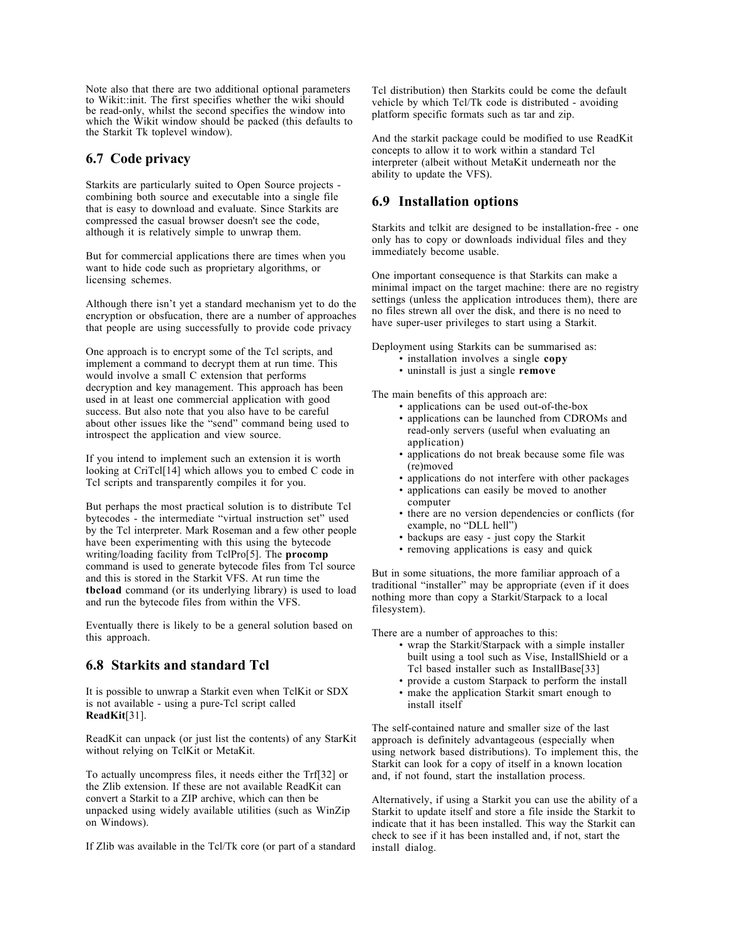Note also that there are two additional optional parameters to Wikit::init. The first specifies whether the wiki should be read-only, whilst the second specifies the window into which the Wikit window should be packed (this defaults to the Starkit Tk toplevel window).

#### **6.7 Code privacy**

Starkits are particularly suited to Open Source projects combining both source and executable into a single file that is easy to download and evaluate. Since Starkits are compressed the casual browser doesn't see the code, although it is relatively simple to unwrap them.

But for commercial applications there are times when you want to hide code such as proprietary algorithms, or licensing schemes.

Although there isn't yet a standard mechanism yet to do the encryption or obsfucation, there are a number of approaches that people are using successfully to provide code privacy

One approach is to encrypt some of the Tcl scripts, and implement a command to decrypt them at run time. This would involve a small C extension that performs decryption and key management. This approach has been used in at least one commercial application with good success. But also note that you also have to be careful about other issues like the "send" command being used to introspect the application and view source.

If you intend to implement such an extension it is worth looking at CriTcl[14] which allows you to embed C code in Tcl scripts and transparently compiles it for you.

But perhaps the most practical solution is to distribute Tcl bytecodes - the intermediate "virtual instruction set" used by the Tcl interpreter. Mark Roseman and a few other people have been experimenting with this using the bytecode writing/loading facility from TclPro[5]. The **procomp** command is used to generate bytecode files from Tcl source and this is stored in the Starkit VFS. At run time the **tbcload** command (or its underlying library) is used to load and run the bytecode files from within the VFS.

Eventually there is likely to be a general solution based on this approach.

# **6.8 Starkits and standard Tcl**

It is possible to unwrap a Starkit even when TclKit or SDX is not available - using a pure-Tcl script called **ReadKit**[31].

ReadKit can unpack (or just list the contents) of any StarKit without relying on TclKit or MetaKit.

To actually uncompress files, it needs either the Trf[32] or the Zlib extension. If these are not available ReadKit can convert a Starkit to a ZIP archive, which can then be unpacked using widely available utilities (such as WinZip on Windows).

If Zlib was available in the Tcl/Tk core (or part of a standard

Tcl distribution) then Starkits could be come the default vehicle by which Tcl/Tk code is distributed - avoiding platform specific formats such as tar and zip.

And the starkit package could be modified to use ReadKit concepts to allow it to work within a standard Tcl interpreter (albeit without MetaKit underneath nor the ability to update the VFS).

# **6.9 Installation options**

Starkits and tclkit are designed to be installation-free - one only has to copy or downloads individual files and they immediately become usable.

One important consequence is that Starkits can make a minimal impact on the target machine: there are no registry settings (unless the application introduces them), there are no files strewn all over the disk, and there is no need to have super-user privileges to start using a Starkit.

Deployment using Starkits can be summarised as:

- installation involves a single **copy**
- uninstall is just a single **remove**

The main benefits of this approach are:

- applications can be used out-of-the-box
	- applications can be launched from CDROMs and read-only servers (useful when evaluating an application)
	- applications do not break because some file was (re)moved
	- applications do not interfere with other packages
- applications can easily be moved to another computer
- there are no version dependencies or conflicts (for example, no "DLL hell")
- backups are easy just copy the Starkit
- removing applications is easy and quick

But in some situations, the more familiar approach of a traditional "installer" may be appropriate (even if it does nothing more than copy a Starkit/Starpack to a local filesystem).

There are a number of approaches to this:

- wrap the Starkit/Starpack with a simple installer built using a tool such as Vise, InstallShield or a Tcl based installer such as InstallBase[33]
- provide a custom Starpack to perform the install • make the application Starkit smart enough to
- install itself

The self-contained nature and smaller size of the last approach is definitely advantageous (especially when using network based distributions). To implement this, the Starkit can look for a copy of itself in a known location and, if not found, start the installation process.

Alternatively, if using a Starkit you can use the ability of a Starkit to update itself and store a file inside the Starkit to indicate that it has been installed. This way the Starkit can check to see if it has been installed and, if not, start the install dialog.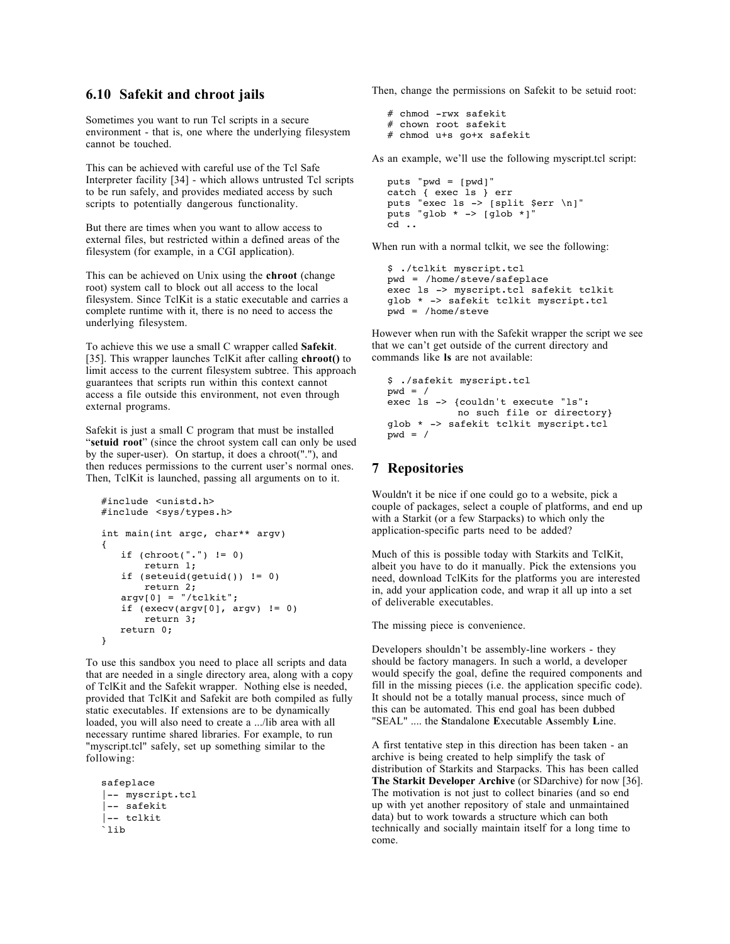#### **6.10 Safekit and chroot jails**

Sometimes you want to run Tcl scripts in a secure environment - that is, one where the underlying filesystem cannot be touched.

This can be achieved with careful use of the Tcl Safe Interpreter facility [34] - which allows untrusted Tcl scripts to be run safely, and provides mediated access by such scripts to potentially dangerous functionality.

But there are times when you want to allow access to external files, but restricted within a defined areas of the filesystem (for example, in a CGI application).

This can be achieved on Unix using the **chroot** (change root) system call to block out all access to the local filesystem. Since TclKit is a static executable and carries a complete runtime with it, there is no need to access the underlying filesystem.

To achieve this we use a small C wrapper called **Safekit**. [35]. This wrapper launches TclKit after calling **chroot()** to limit access to the current filesystem subtree. This approach guarantees that scripts run within this context cannot access a file outside this environment, not even through external programs.

Safekit is just a small C program that must be installed "**setuid root**" (since the chroot system call can only be used by the super-user). On startup, it does a chroot("."), and then reduces permissions to the current user's normal ones. Then, TclKit is launched, passing all arguments on to it.

```
#include <unistd.h>
#include <sys/types.h>
int main(int argc, char** argv)
{
   if (charoot("."') != 0) return 1;
   if (seteuid(qetuid()) != 0)
        return 2;
   argv[0] = "/tc1kit";if (execv(argv[0], argv) != 0)
        return 3;
    return 0;
}
```
To use this sandbox you need to place all scripts and data that are needed in a single directory area, along with a copy of TclKit and the Safekit wrapper. Nothing else is needed, provided that TclKit and Safekit are both compiled as fully static executables. If extensions are to be dynamically loaded, you will also need to create a .../lib area with all necessary runtime shared libraries. For example, to run "myscript.tcl" safely, set up something similar to the following:

```
safeplace
|-- myscript.tcl
|-- safekit
|-- tclkit
`lib
```
Then, change the permissions on Safekit to be setuid root:

```
# chmod -rwx safekit
# chown root safekit
# chmod u+s go+x safekit
```
As an example, we'll use the following myscript.tcl script:

```
puts "pwd = [pwd]"
catch { exec ls } err
puts "exec ls -> [split $err \n]"
puts "glob * -> [glob *]"
cd ..
```
When run with a normal tclkit, we see the following:

```
$ ./tclkit myscript.tcl
pwd = /home/steve/safeplace
exec ls -> myscript.tcl safekit tclkit
glob * -> safekit tclkit myscript.tcl
pwd = /home/steve
```
However when run with the Safekit wrapper the script we see that we can't get outside of the current directory and commands like **ls** are not available:

```
$ ./safekit myscript.tcl
wd = /exec ls -> {couldn't execute "ls": 
           no such file or directory}
glob * -> safekit tclkit myscript.tcl
pwd = /
```
#### **7 Repositories**

Wouldn't it be nice if one could go to a website, pick a couple of packages, select a couple of platforms, and end up with a Starkit (or a few Starpacks) to which only the application-specific parts need to be added?

Much of this is possible today with Starkits and TclKit, albeit you have to do it manually. Pick the extensions you need, download TclKits for the platforms you are interested in, add your application code, and wrap it all up into a set of deliverable executables.

The missing piece is convenience.

Developers shouldn't be assembly-line workers - they should be factory managers. In such a world, a developer would specify the goal, define the required components and fill in the missing pieces (i.e. the application specific code). It should not be a totally manual process, since much of this can be automated. This end goal has been dubbed "SEAL" .... the **S**tandalone **E**xecutable **A**ssembly **L**ine.

A first tentative step in this direction has been taken - an archive is being created to help simplify the task of distribution of Starkits and Starpacks. This has been called **The Starkit Developer Archive** (or SDarchive) for now [36]. The motivation is not just to collect binaries (and so end up with yet another repository of stale and unmaintained data) but to work towards a structure which can both technically and socially maintain itself for a long time to come.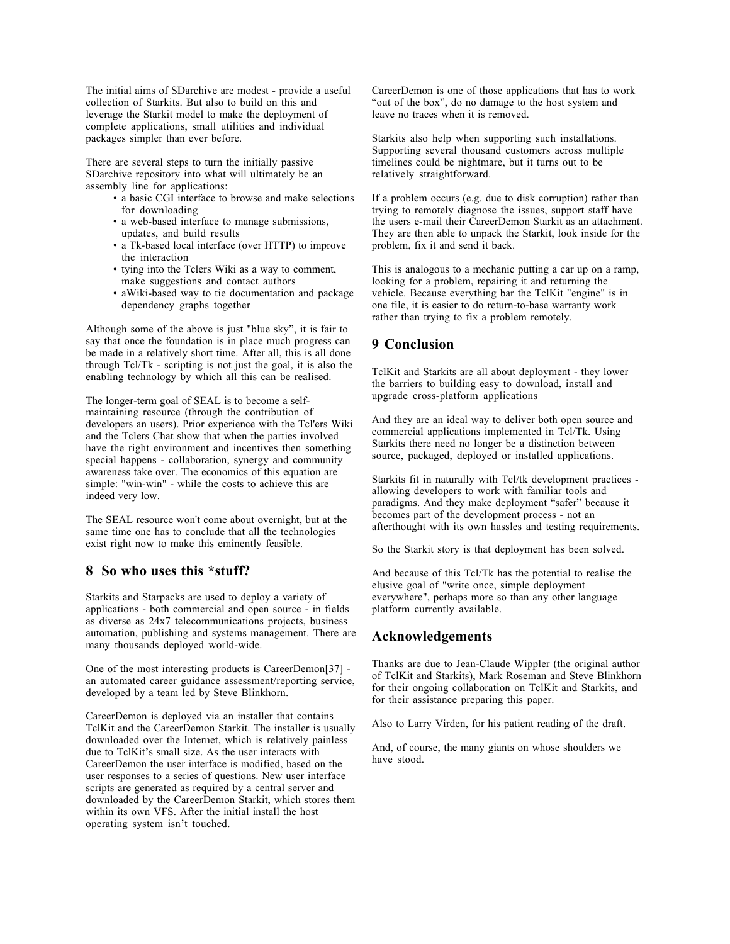The initial aims of SDarchive are modest - provide a useful collection of Starkits. But also to build on this and leverage the Starkit model to make the deployment of complete applications, small utilities and individual packages simpler than ever before.

There are several steps to turn the initially passive SDarchive repository into what will ultimately be an assembly line for applications:

- a basic CGI interface to browse and make selections for downloading
- a web-based interface to manage submissions, updates, and build results
- a Tk-based local interface (over HTTP) to improve the interaction
- tying into the Tclers Wiki as a way to comment, make suggestions and contact authors
- aWiki-based way to tie documentation and package dependency graphs together

Although some of the above is just "blue sky", it is fair to say that once the foundation is in place much progress can be made in a relatively short time. After all, this is all done through Tcl/Tk - scripting is not just the goal, it is also the enabling technology by which all this can be realised.

The longer-term goal of SEAL is to become a selfmaintaining resource (through the contribution of developers an users). Prior experience with the Tcl'ers Wiki and the Tclers Chat show that when the parties involved have the right environment and incentives then something special happens - collaboration, synergy and community awareness take over. The economics of this equation are simple: "win-win" - while the costs to achieve this are indeed very low.

The SEAL resource won't come about overnight, but at the same time one has to conclude that all the technologies exist right now to make this eminently feasible.

#### **8 So who uses this \*stuff?**

Starkits and Starpacks are used to deploy a variety of applications - both commercial and open source - in fields as diverse as 24x7 telecommunications projects, business automation, publishing and systems management. There are many thousands deployed world-wide.

One of the most interesting products is CareerDemon[37] an automated career guidance assessment/reporting service, developed by a team led by Steve Blinkhorn.

CareerDemon is deployed via an installer that contains TclKit and the CareerDemon Starkit. The installer is usually downloaded over the Internet, which is relatively painless due to TclKit's small size. As the user interacts with CareerDemon the user interface is modified, based on the user responses to a series of questions. New user interface scripts are generated as required by a central server and downloaded by the CareerDemon Starkit, which stores them within its own VFS. After the initial install the host operating system isn't touched.

CareerDemon is one of those applications that has to work "out of the box", do no damage to the host system and leave no traces when it is removed.

Starkits also help when supporting such installations. Supporting several thousand customers across multiple timelines could be nightmare, but it turns out to be relatively straightforward.

If a problem occurs (e.g. due to disk corruption) rather than trying to remotely diagnose the issues, support staff have the users e-mail their CareerDemon Starkit as an attachment. They are then able to unpack the Starkit, look inside for the problem, fix it and send it back.

This is analogous to a mechanic putting a car up on a ramp, looking for a problem, repairing it and returning the vehicle. Because everything bar the TclKit "engine" is in one file, it is easier to do return-to-base warranty work rather than trying to fix a problem remotely.

# **9 Conclusion**

TclKit and Starkits are all about deployment - they lower the barriers to building easy to download, install and upgrade cross-platform applications

And they are an ideal way to deliver both open source and commercial applications implemented in Tcl/Tk. Using Starkits there need no longer be a distinction between source, packaged, deployed or installed applications.

Starkits fit in naturally with Tcl/tk development practices allowing developers to work with familiar tools and paradigms. And they make deployment "safer" because it becomes part of the development process - not an afterthought with its own hassles and testing requirements.

So the Starkit story is that deployment has been solved.

And because of this Tcl/Tk has the potential to realise the elusive goal of "write once, simple deployment everywhere", perhaps more so than any other language platform currently available.

## **Acknowledgements**

Thanks are due to Jean-Claude Wippler (the original author of TclKit and Starkits), Mark Roseman and Steve Blinkhorn for their ongoing collaboration on TclKit and Starkits, and for their assistance preparing this paper.

Also to Larry Virden, for his patient reading of the draft.

And, of course, the many giants on whose shoulders we have stood.